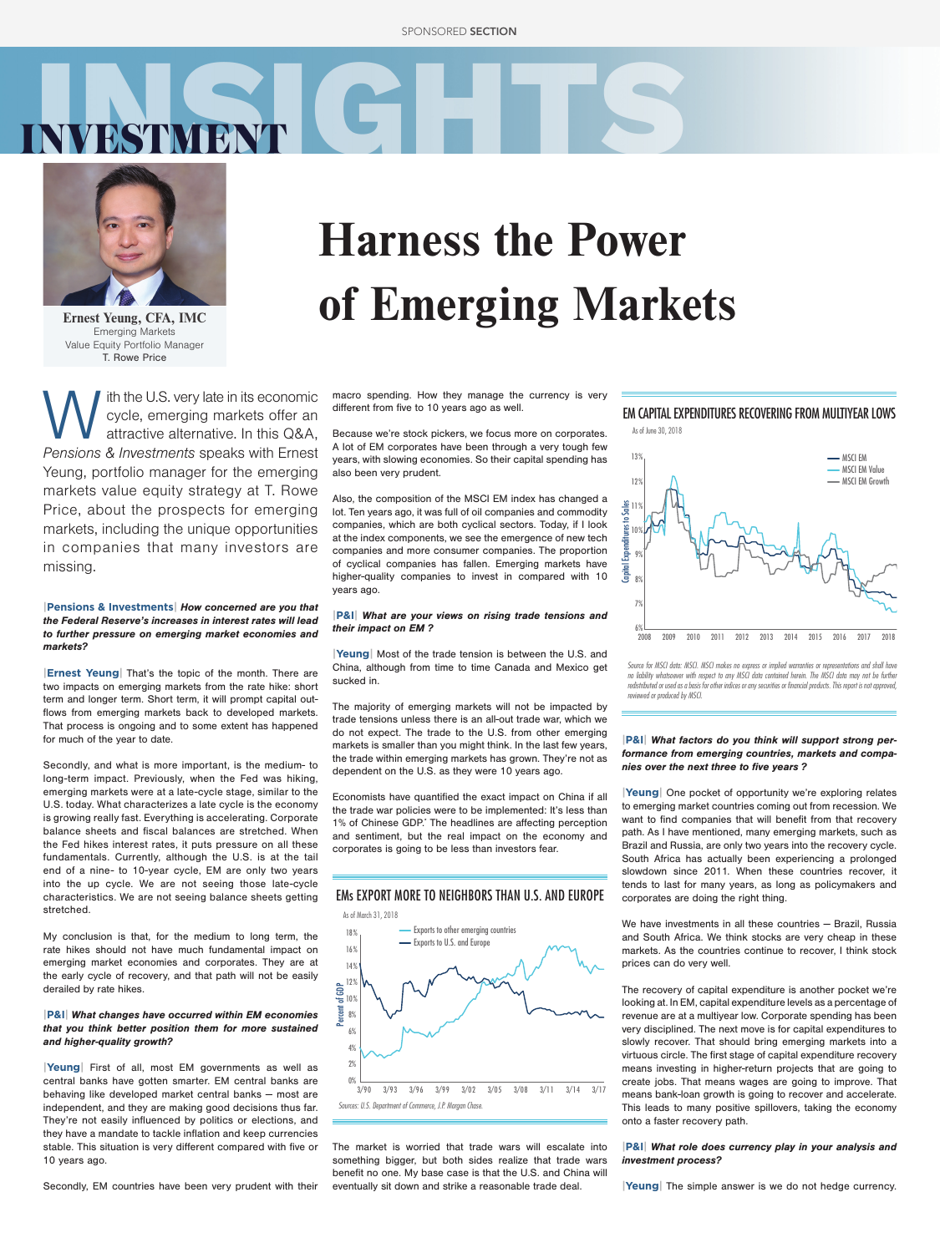



Ernest Yeung, CFA, IMC Emerging Markets Value Equity Portfolio Manager T. Rowe Price

With the U.S. very late in its economic<br>cycle, emerging markets offer an<br>attractive alternative. In this Q&A,<br>Pensions & Investments speaks with Ernest cycle, emerging markets offer an attractive alternative. In this Q&A, Pensions & Investments speaks with Ernest Yeung, portfolio manager for the emerging markets value equity strategy at T. Rowe Price, about the prospects for emerging markets, including the unique opportunities in companies that many investors are missing.

#### **|Pensions & Investments|** How concerned are you that the Federal Reserve's increases in interest rates will lead to further pressure on emerging market economies and markets?

**|Ernest Yeung|** That's the topic of the month. There are two impacts on emerging markets from the rate hike: short term and longer term. Short term, it will prompt capital outflows from emerging markets back to developed markets. That process is ongoing and to some extent has happened for much of the year to date.

Secondly, and what is more important, is the medium- to long-term impact. Previously, when the Fed was hiking, emerging markets were at a late-cycle stage, similar to the U.S. today. What characterizes a late cycle is the economy is growing really fast. Everything is accelerating. Corporate balance sheets and fiscal balances are stretched. When the Fed hikes interest rates, it puts pressure on all these fundamentals. Currently, although the U.S. is at the tail end of a nine- to 10-year cycle, EM are only two years into the up cycle. We are not seeing those late-cycle characteristics. We are not seeing balance sheets getting stretched.

My conclusion is that, for the medium to long term, the rate hikes should not have much fundamental impact on emerging market economies and corporates. They are at the early cycle of recovery, and that path will not be easily derailed by rate hikes.

#### **|P&I|** What changes have occurred within EM economies that you think better position them for more sustained and higher-quality growth?

**|Yeung|** First of all, most EM governments as well as central banks have gotten smarter. EM central banks are behaving like developed market central banks ― most are independent, and they are making good decisions thus far. They're not easily influenced by politics or elections, and they have a mandate to tackle inflation and keep currencies stable. This situation is very different compared with five or 10 years ago.

Secondly, EM countries have been very prudent with their

# Harness the Power of Emerging Markets

macro spending. How they manage the currency is very different from five to 10 years ago as well.

Because we're stock pickers, we focus more on corporates. A lot of EM corporates have been through a very tough few years, with slowing economies. So their capital spending has also been very prudent.

Also, the composition of the MSCI EM index has changed a lot. Ten years ago, it was full of oil companies and commodity companies, which are both cyclical sectors. Today, if I look at the index components, we see the emergence of new tech companies and more consumer companies. The proportion of cyclical companies has fallen. Emerging markets have higher-quality companies to invest in compared with 10 years ago.

#### **|P&I|** What are your views on rising trade tensions and their impact on EM ?

**|Yeung|** Most of the trade tension is between the U.S. and China, although from time to time Canada and Mexico get sucked in.

The majority of emerging markets will not be impacted by trade tensions unless there is an all-out trade war, which we do not expect. The trade to the U.S. from other emerging markets is smaller than you might think. In the last few years, the trade within emerging markets has grown. They're not as dependent on the U.S. as they were 10 years ago.

Economists have quantified the exact impact on China if all the trade war policies were to be implemented: It's less than 1% of Chinese GDP.' The headlines are affecting perception and sentiment, but the real impact on the economy and corporates is going to be less than investors fear.



The market is worried that trade wars will escalate into something bigger, but both sides realize that trade wars benefit no one. My base case is that the U.S. and China will eventually sit down and strike a reasonable trade deal.

## EM CAPITAL EXPENDITURES RECOVERING FROM MULTIYEAR LOWS



*Source for MSCI data: MSCI. MSCI makes no express or implied warranties or representations and shall have no liability whatsoever with respect to any MSCI data contained herein. The MSCI data may not be further redistributed or used as a basis for other indices or any securities or financial products. This report is not approved, reviewed or produced by MSCI.*

#### **|P&I|** What factors do you think will support strong performance from emerging countries, markets and companies over the next three to five years ?

**|Yeung|** One pocket of opportunity we're exploring relates to emerging market countries coming out from recession. We want to find companies that will benefit from that recovery path. As I have mentioned, many emerging markets, such as Brazil and Russia, are only two years into the recovery cycle. South Africa has actually been experiencing a prolonged slowdown since 2011. When these countries recover, it tends to last for many years, as long as policymakers and corporates are doing the right thing.

We have investments in all these countries - Brazil, Russia and South Africa. We think stocks are very cheap in these markets. As the countries continue to recover, I think stock prices can do very well.

The recovery of capital expenditure is another pocket we're looking at. In EM, capital expenditure levels as a percentage of revenue are at a multiyear low. Corporate spending has been very disciplined. The next move is for capital expenditures to slowly recover. That should bring emerging markets into a virtuous circle. The first stage of capital expenditure recovery means investing in higher-return projects that are going to create jobs. That means wages are going to improve. That means bank-loan growth is going to recover and accelerate. This leads to many positive spillovers, taking the economy onto a faster recovery path.

#### **|P&I|** What role does currency play in your analysis and investment process?

**|Yeung|** The simple answer is we do not hedge currency.